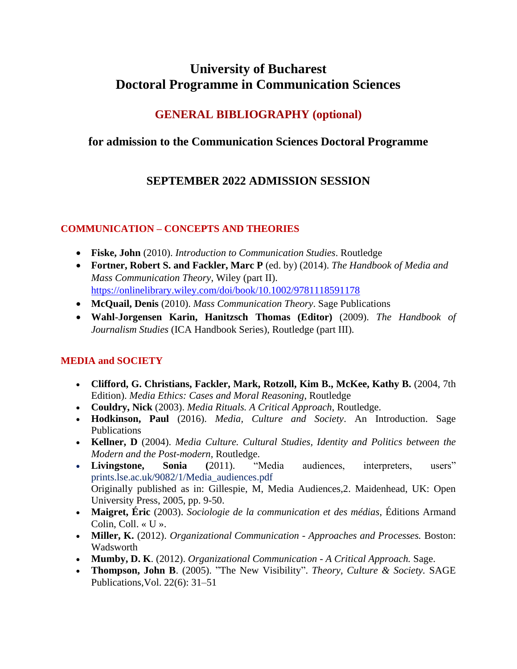# **University of Bucharest Doctoral Programme in Communication Sciences**

## **GENERAL BIBLIOGRAPHY (optional)**

### **for admission to the Communication Sciences Doctoral Programme**

## **SEPTEMBER 2022 ADMISSION SESSION**

### **COMMUNICATION – CONCEPTS AND THEORIES**

- **Fiske, John** (2010). *Introduction to Communication Studies*. Routledge
- **Fortner, Robert S. and Fackler, Marc P** (ed. by) (2014). *The Handbook of Media and Mass Communication Theory*, Wiley (part II). <https://onlinelibrary.wiley.com/doi/book/10.1002/9781118591178>
- **McQuail, Denis** (2010). *Mass Communication Theory*. Sage Publications
- **Wahl-Jorgensen Karin, Hanitzsch Thomas (Editor)** (2009). *The Handbook of Journalism Studies* (ICA Handbook Series), Routledge (part III).

### **MEDIA and SOCIETY**

- **Clifford, G. Christians, Fackler, Mark, Rotzoll, Kim B., McKee, Kathy B.** (2004, 7th Edition). *Media Ethics: Cases and Moral Reasoning*, Routledge
- **Couldry, Nick** (2003). *Media Rituals. A Critical Approach*, Routledge.
- **Hodkinson, Paul** (2016). *Media, Culture and Society*. An Introduction. Sage Publications
- **Kellner, D** (2004). *Media Culture. Cultural Studies, Identity and Politics between the Modern and the Post-modern*, Routledge.
- **Livingstone, Sonia (**2011). "Media audiences, interpreters, users" prints.lse.ac.uk/9082/1/Media\_audiences.pdf Originally published as in: Gillespie, M, Media Audiences,2. Maidenhead, UK: Open University Press, 2005, pp. 9-50.
- **Maigret, Éric** (2003). *Sociologie de la communication et des médias*, Éditions Armand Colin, Coll. « U ».
- **Miller, K.** (2012). *Organizational Communication - Approaches and Processes.* Boston: Wadsworth
- **Mumby, D. K**. (2012). *Organizational Communication A Critical Approach.* Sage.
- **Thompson, John B**. (2005). "The New Visibility". *Theory, Culture & Society.* SAGE Publications,Vol. 22(6): 31–51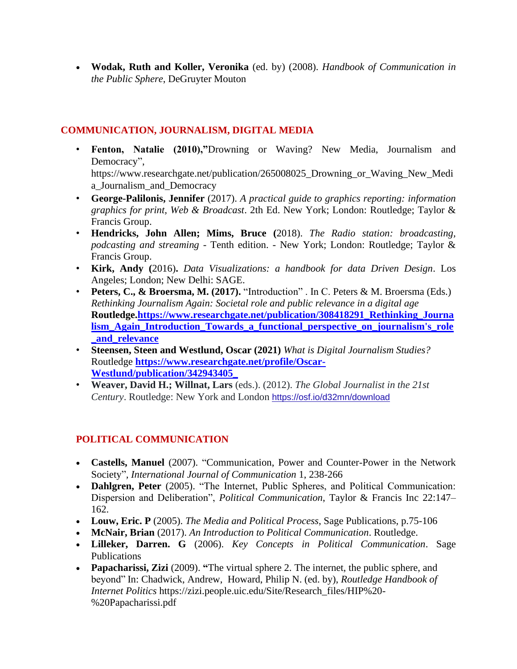• **Wodak, Ruth and Koller, Veronika** (ed. by) (2008). *Handbook of Communication in the Public Sphere*, DeGruyter Mouton

#### **COMMUNICATION, JOURNALISM, DIGITAL MEDIA**

- **Fenton, Natalie (2010),"**Drowning or Waving? New Media, Journalism and Democracy", https://www.researchgate.net/publication/265008025 Drowning or Waving New Medi a\_Journalism\_and\_Democracy
- **George-Palilonis, Jennifer** (2017). *A practical guide to graphics reporting: information graphics for print, Web & Broadcast*. 2th Ed. New York; London: Routledge; Taylor & Francis Group.
- **Hendricks, John Allen; Mims, Bruce (**2018). *The Radio station: broadcasting, podcasting and streaming* - Tenth edition. - New York; London: Routledge; Taylor & Francis Group.
- **Kirk, Andy (**2016)**.** *Data Visualizations: a handbook for data Driven Design*. Los Angeles; London; New Delhi: SAGE.
- **Peters, C., & Broersma, M. (2017).** "Introduction" . In C. Peters & M. Broersma (Eds.) *Rethinking Journalism Again: Societal role and public relevance in a digital age*  **Routledge[.https://www.researchgate.net/publication/308418291\\_Rethinking\\_Journa](https://www.researchgate.net/publication/308418291_Rethinking_Journalism_Again_Introduction_Towards_a_functional_perspective_on_journalism) [lism\\_Again\\_Introduction\\_Towards\\_a\\_functional\\_perspective\\_on\\_journalism's\\_role](https://www.researchgate.net/publication/308418291_Rethinking_Journalism_Again_Introduction_Towards_a_functional_perspective_on_journalism) [\\_and\\_relevance](https://www.researchgate.net/publication/308418291_Rethinking_Journalism_Again_Introduction_Towards_a_functional_perspective_on_journalism)**
- **Steensen, Steen and Westlund, Oscar (2021)** *What is Digital Journalism Studies?* Routledge **[https://www.researchgate.net/profile/Oscar-](https://www.researchgate.net/profile/Oscar-Westlund/publication/342943405_)[Westlund/publication/342943405\\_](https://www.researchgate.net/profile/Oscar-Westlund/publication/342943405_)**
- **Weaver, David H.; Willnat, Lars** (eds.). (2012). *The Global Journalist in the 21st Century*. Routledge: New York and London <https://osf.io/d32mn/download>

#### **POLITICAL COMMUNICATION**

- **Castells, Manuel** (2007). "Communication, Power and Counter-Power in the Network Society"*, International Journal of Communication* 1, 238-266
- **Dahlgren, Peter** (2005). "The Internet, Public Spheres, and Political Communication: Dispersion and Deliberation", *Political Communication*, Taylor & Francis Inc 22:147– 162.
- **Louw, Eric. P** (2005). *The Media and Political Process*, Sage Publications, p.75-106
- **McNair, Brian** (2017). *An Introduction to Political Communication*. Routledge.
- **Lilleker, Darren. G** (2006). *Key Concepts in Political Communication*. Sage Publications
- **Papacharissi, Zizi** (2009). "The virtual sphere 2. The internet, the public sphere, and beyond" In: [Chadwick,](https://www.routledgehandbooks.com/author/Andrew_Chadwick) Andrew, [Howard,](https://www.routledgehandbooks.com/author/Philip%20N._Howard) Philip N. (ed. by), *Routledge Handbook of Internet Politics* https://zizi.people.uic.edu/Site/Research\_files/HIP%20- %20Papacharissi.pdf